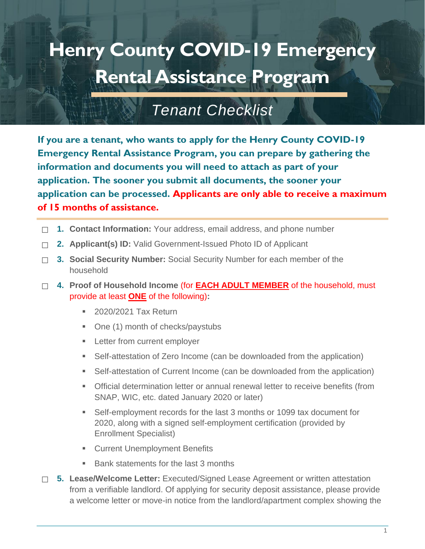## **Henry County COVID-19 Emergency Rental Assistance Program**

## *Tenant Checklist*

**If you are a tenant, who wants to apply for the Henry County COVID-19 Emergency Rental Assistance Program, you can prepare by gathering the information and documents you will need to attach as part of your application. The sooner you submit all documents, the sooner your application can be processed. Applicants are only able to receive a maximum of 15 months of assistance.**

- ☐ **1. Contact Information:** Your address, email address, and phone number
- ☐ **2. Applicant(s) ID:** Valid Government-Issued Photo ID of Applicant
- □ 3. Social Security Number: Social Security Number for each member of the household
- ☐ **4. Proof of Household Income** (for **EACH ADULT MEMBER** of the household, must provide at least **ONE** of the following)**:**
	- 2020/2021 Tax Return
	- One (1) month of checks/paystubs
	- **EXECUTE:** Letter from current employer
	- Self-attestation of Zero Income (can be downloaded from the application)
	- Self-attestation of Current Income (can be downloaded from the application)
	- **•** Official determination letter or annual renewal letter to receive benefits (from SNAP, WIC, etc. dated January 2020 or later)
	- Self-employment records for the last 3 months or 1099 tax document for 2020, along with a signed self-employment certification (provided by Enrollment Specialist)
	- **EXECUTE: Current Unemployment Benefits**
	- Bank statements for the last 3 months
- ☐ **5. Lease/Welcome Letter:** Executed/Signed Lease Agreement or written attestation from a verifiable landlord. Of applying for security deposit assistance, please provide a welcome letter or move-in notice from the landlord/apartment complex showing the